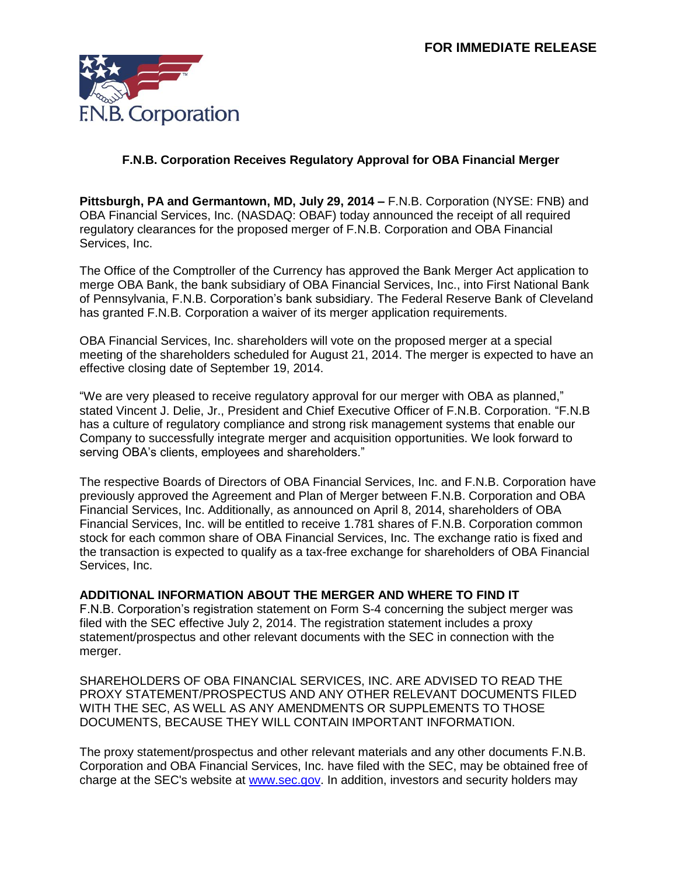

## **F.N.B. Corporation Receives Regulatory Approval for OBA Financial Merger**

**Pittsburgh, PA and Germantown, MD, July 29, 2014 –** F.N.B. Corporation (NYSE: FNB) and OBA Financial Services, Inc. (NASDAQ: OBAF) today announced the receipt of all required regulatory clearances for the proposed merger of F.N.B. Corporation and OBA Financial Services, Inc.

The Office of the Comptroller of the Currency has approved the Bank Merger Act application to merge OBA Bank, the bank subsidiary of OBA Financial Services, Inc., into First National Bank of Pennsylvania, F.N.B. Corporation's bank subsidiary. The Federal Reserve Bank of Cleveland has granted F.N.B. Corporation a waiver of its merger application requirements.

OBA Financial Services, Inc. shareholders will vote on the proposed merger at a special meeting of the shareholders scheduled for August 21, 2014. The merger is expected to have an effective closing date of September 19, 2014.

"We are very pleased to receive regulatory approval for our merger with OBA as planned," stated Vincent J. Delie, Jr., President and Chief Executive Officer of F.N.B. Corporation. "F.N.B has a culture of regulatory compliance and strong risk management systems that enable our Company to successfully integrate merger and acquisition opportunities. We look forward to serving OBA's clients, employees and shareholders."

The respective Boards of Directors of OBA Financial Services, Inc. and F.N.B. Corporation have previously approved the Agreement and Plan of Merger between F.N.B. Corporation and OBA Financial Services, Inc. Additionally, as announced on April 8, 2014, shareholders of OBA Financial Services, Inc. will be entitled to receive 1.781 shares of F.N.B. Corporation common stock for each common share of OBA Financial Services, Inc. The exchange ratio is fixed and the transaction is expected to qualify as a tax-free exchange for shareholders of OBA Financial Services, Inc.

## **ADDITIONAL INFORMATION ABOUT THE MERGER AND WHERE TO FIND IT**

F.N.B. Corporation's registration statement on Form S-4 concerning the subject merger was filed with the SEC effective July 2, 2014. The registration statement includes a proxy statement/prospectus and other relevant documents with the SEC in connection with the merger.

SHAREHOLDERS OF OBA FINANCIAL SERVICES, INC. ARE ADVISED TO READ THE PROXY STATEMENT/PROSPECTUS AND ANY OTHER RELEVANT DOCUMENTS FILED WITH THE SEC, AS WELL AS ANY AMENDMENTS OR SUPPLEMENTS TO THOSE DOCUMENTS, BECAUSE THEY WILL CONTAIN IMPORTANT INFORMATION.

The proxy statement/prospectus and other relevant materials and any other documents F.N.B. Corporation and OBA Financial Services, Inc. have filed with the SEC, may be obtained free of charge at the SEC's website at [www.sec.gov.](http://www.sec.gov/) In addition, investors and security holders may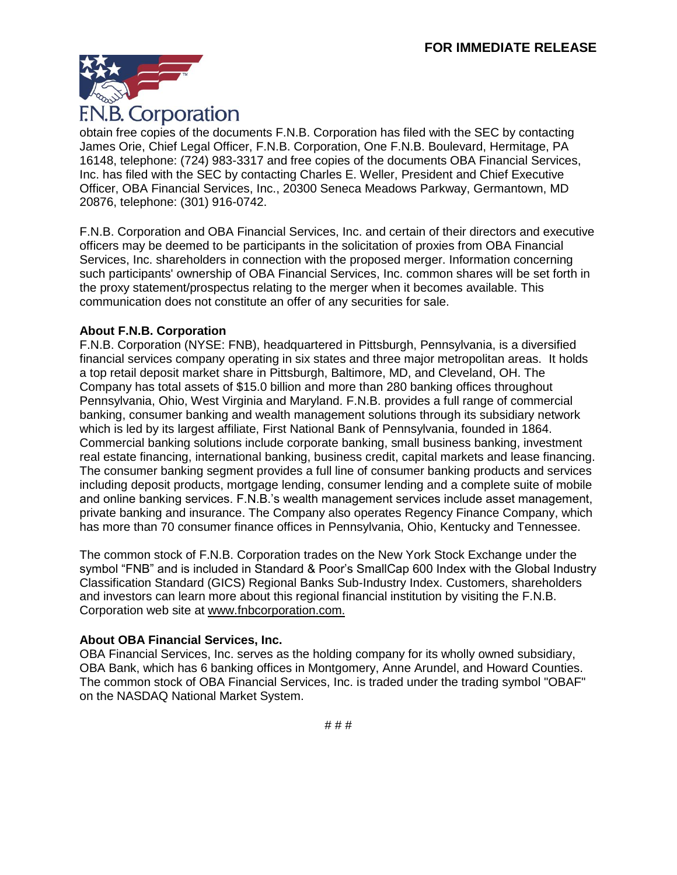

obtain free copies of the documents F.N.B. Corporation has filed with the SEC by contacting James Orie, Chief Legal Officer, F.N.B. Corporation, One F.N.B. Boulevard, Hermitage, PA 16148, telephone: (724) 983-3317 and free copies of the documents OBA Financial Services, Inc. has filed with the SEC by contacting Charles E. Weller, President and Chief Executive Officer, OBA Financial Services, Inc., 20300 Seneca Meadows Parkway, Germantown, MD 20876, telephone: (301) 916-0742.

F.N.B. Corporation and OBA Financial Services, Inc. and certain of their directors and executive officers may be deemed to be participants in the solicitation of proxies from OBA Financial Services, Inc. shareholders in connection with the proposed merger. Information concerning such participants' ownership of OBA Financial Services, Inc. common shares will be set forth in the proxy statement/prospectus relating to the merger when it becomes available. This communication does not constitute an offer of any securities for sale.

## **About F.N.B. Corporation**

F.N.B. Corporation (NYSE: FNB), headquartered in Pittsburgh, Pennsylvania, is a diversified financial services company operating in six states and three major metropolitan areas. It holds a top retail deposit market share in Pittsburgh, Baltimore, MD, and Cleveland, OH. The Company has total assets of \$15.0 billion and more than 280 banking offices throughout Pennsylvania, Ohio, West Virginia and Maryland. F.N.B. provides a full range of commercial banking, consumer banking and wealth management solutions through its subsidiary network which is led by its largest affiliate, First National Bank of Pennsylvania, founded in 1864. Commercial banking solutions include corporate banking, small business banking, investment real estate financing, international banking, business credit, capital markets and lease financing. The consumer banking segment provides a full line of consumer banking products and services including deposit products, mortgage lending, consumer lending and a complete suite of mobile and online banking services. F.N.B.'s wealth management services include asset management, private banking and insurance. The Company also operates Regency Finance Company, which has more than 70 consumer finance offices in Pennsylvania, Ohio, Kentucky and Tennessee.

The common stock of F.N.B. Corporation trades on the New York Stock Exchange under the symbol "FNB" and is included in Standard & Poor's SmallCap 600 Index with the Global Industry Classification Standard (GICS) Regional Banks Sub-Industry Index. Customers, shareholders and investors can learn more about this regional financial institution by visiting the F.N.B. Corporation web site at [www.fnbcorporation.com.](http://www.fnbcorporation.com./)

## **About OBA Financial Services, Inc.**

OBA Financial Services, Inc. serves as the holding company for its wholly owned subsidiary, OBA Bank, which has 6 banking offices in Montgomery, Anne Arundel, and Howard Counties. The common stock of OBA Financial Services, Inc. is traded under the trading symbol "OBAF" on the NASDAQ National Market System.